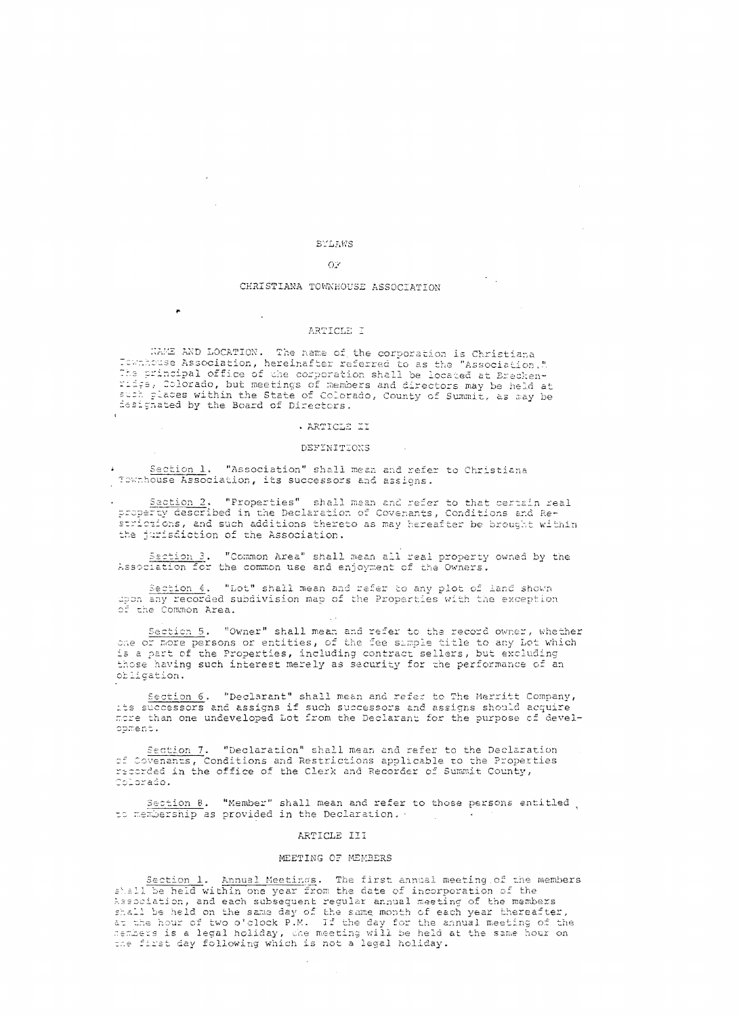# BYLAWS

 $\mathbb{R}^2$ 

 $\sigma_{\rm{max}}$ 

 $\rightarrow$ 

 $\sim$ 

## $O<sup>2</sup>$

#### CHRISTIANA TOWNHOUSE ASSOCIATION

#### ARTICLE I

WAME AND LOCATION. The name of the corporation is Christiana<br>Townhouse Association, hereinafter referred to as the "Association." The principal office of the corporation shall be located at Brechen-<br>The principal office of the corporation shall be located at Brechen-<br>Tidge, Colorado, but meetings of members and directors may be held at<br>such places wi designated by the Board of Directors.

## . ARTICLE II

#### DEFINITIONS

Section 1. "Association" shall mean and refer to Christiana Townhouse Association, its successors and assigns.

Section 2. "Properties" shall mean and refer to that certain real property described in the Declaration of Covenants, Conditions and Restrictions, and such additions thereto as may hereafter be brought within the jurisdiction of the Association.

Saction 3. "Common Area" shall mean all real property owned by the Association for the common use and enjoyment of the Owners.

Section 4. "Lot" shall mean and refer to any plot of land shown upon any recorded subdivision map of the Properties with the exception of the Common Area.

Section 5. "Owner" shall mean and refer to the record owner, whether<br>one or more persons or entities, of the fee simple title to any Lot which is a part of the Properties, including contract sellers, but excluding those having such interest merely as security for the performance of an obligation.

Section 6. "Declarant" shall mean and refer to The Merritt Company, its successors and assigns if such successors and assigns should acquire<br>more than one undeveloped Lot from the Declarant for the purpose of development.

Section 7. "Declaration" shall mean and refer to the Declaration of Covenants, Conditions and Restrictions applicable to the Properties<br>recorded in the office of the Clerk and Recorder of Summit County, Colorado.

Section 8. "Member" shall mean and refer to those persons entitled to membership as provided in the Declaration.

## ARTICLE III

## MEETING OF MEMBERS

Section 1. Annual Meetings. The first annual meeting of the members  $\pm 1.1$ be held within one year from the date of incorporation of the Association, and each subsequent regular annual meeting of the members shall be held on the same day of the same month of each year thereafter, at the hour of two o'clock P.M. If the day for the annual meeting of the<br>sembers is a legal holiday, the meeting will be held at the same hour on<br>the first day following which is not a legal holiday.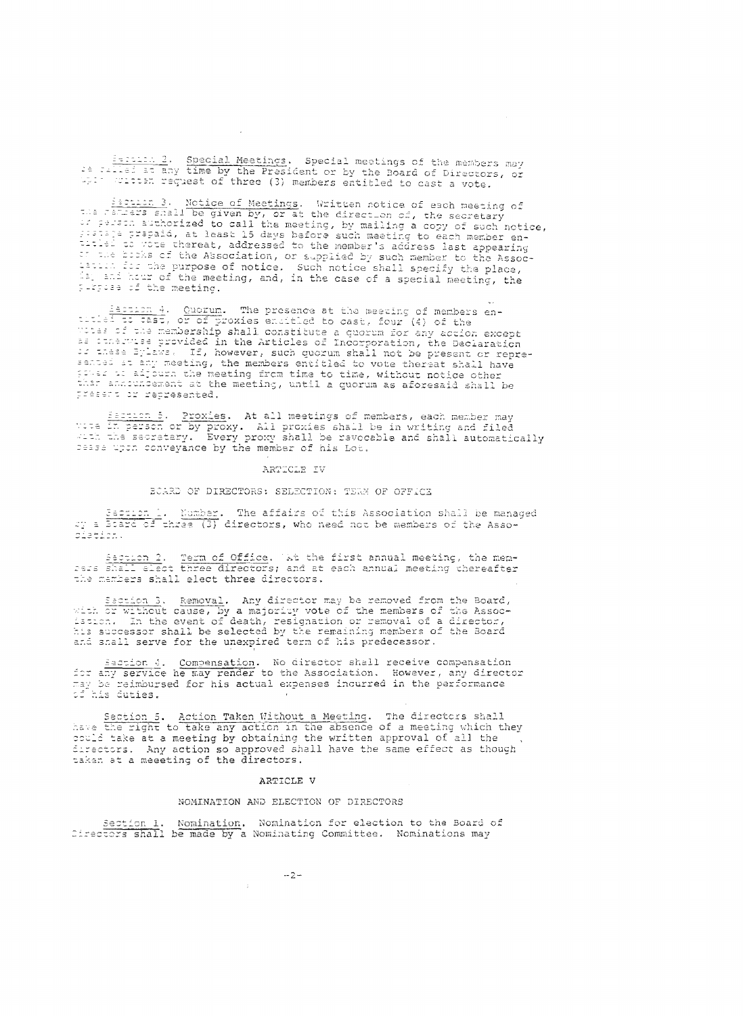implied 2. Special Meetings. Special meetings of the members may<br>be consider the President or by the Board of Directors, or Well willen request of three (3) members entitled to cast a vote.

Escribe 3. Notice of Meetings. Written notice of each meeting of<br>the camera shall be given by, or at the direction of, the secretary<br>if First authorized to call the meeting, by mailing a copy of such notice, Sistaje prepaid, at least 15 days before such meeting to each member eninitial convert hereaf, addressed to the member's addressed to the comments of the heading to each member entirely converted to the Association, or supplied by such member to the Association of the purpose of notice. Such

Estion 4. Quorum. The presence at the meeting of members en-<br>titled to tast, or of proxies encitled to cast, four (4) of the<br>votes of the membership shall constitute a quorum for any action except<br>as construes provided in sented at any meeting, the members entitled to vote thereat shall have gover at adjourn the meeting from time to time, without notice other present or represented.

Sacrison 5. Proxies. At all meetings of members, each member may<br>yous in person or by proxy. All proxies shall be in writing and filed<br>with the secretary. Every proxy shall be revocable and shall automatically cesse upon conveyance by the member of his Lot.

## ARTICLE IV

#### BOARD OF DIRECTORS: SELECTION: TEAM OF OFFICE

Sacrion 1. Number. The affairs of this Association shall be managed<br>27 a Brard of three (3) directors, who need not be members of the Assodiation.

Saction 2. Term of Office. We the first annual meeting, the mem-<br>sess shall elect three directors; and at each annual meeting thereafter the members shall elect three directors.

Section 3. Removal. Any director may be removed from the Board,<br>with or without cause, by a majority vote of the members of the Assoc-<br>issues. In the event of death, resignation or removal of a director,<br>his successor shal and shall serve for the unexpired term of his predecessor.

Escribe 4. Compensation. No director shall receive compensation<br>for any service he may render to the Association. However, any director may be reimbursed for his actual expenses indurred in the performance of his duties.

Section 5. Action Taken Without a Meeting. The directors shall<br>have the right to take any action in the absence of a meeting which they could take at a meeting by obtaining the written approval of all the directors. Any action so approved shall have the same effect as though taken at a meeting of the directors.

#### ARTICLE V

## NOMINATION AND ELECTION OF DIRECTORS

Section 1. Nomination. Nomination for election to the Board of Directors shall be made by a Nominating Committee. Nominations may

ò.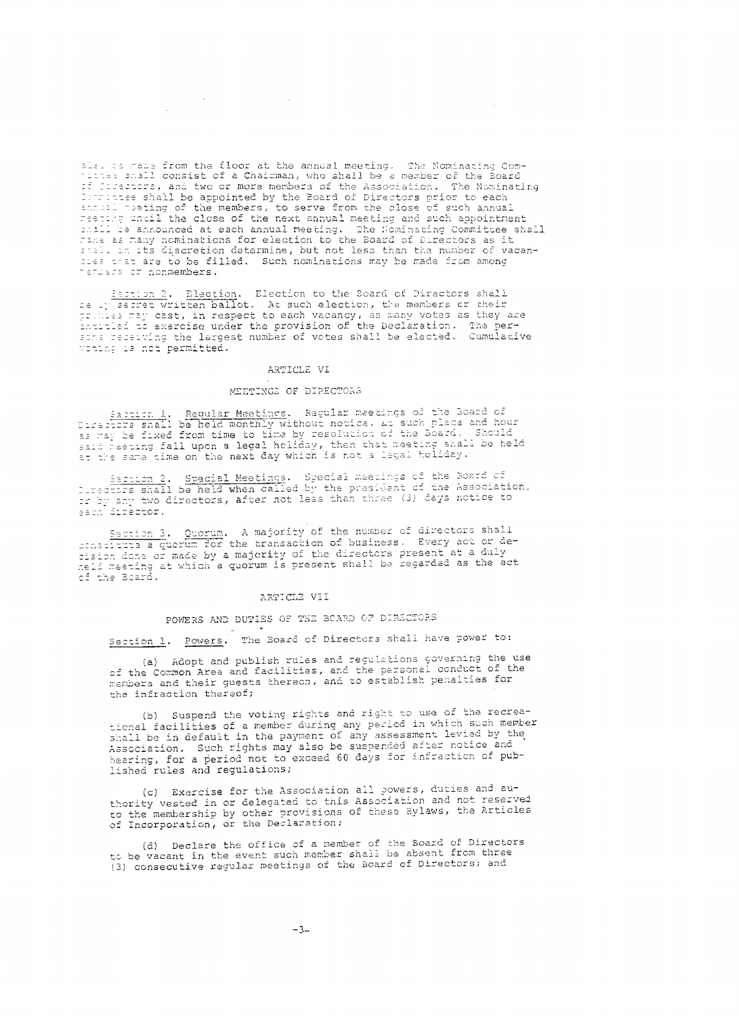als. ce made from the floor at the annual meeting. The Nominating Comittes shall consist of a Chairman, who shall be a member of the Board if firectors, and two or more members of the Association. The Nominating Contracted by the Board of Directors prior to each<br>annual masting of the members, to serve from the close of such annual reeting until the close of the next annual meeting and such appointment shall be announced at each annual meeting. The Nominating Committee shall Take as many nominations for election to the Board of Directors as it shall in its discretion determine, but not less than the number of vacansies that are to be filled. Such nominations may be made from among remuers or nonmembers.

Sacrion 2. Election. Election to the Board of Directors shall<br>ce in accret written ballot. At such election, the members or their<br>primes may cast, in respect to each vacancy, as many votes as they are<br>anticled to exercise voting is not permitted.

# ARTICLE VI

# MEETINGS OF DIRECTORS

Sabright 1. Regular Meetings. Regular meetings of the Board of<br>Diractors shall be held monthly without notice, at such place and hour<br>as may be fixed from time to time by resolution of the Board. Should<br>said meeting fall u

Saction 2. Special Meetings. Special meetings of the Soard of<br>Cirectors shall be held when called by the president of the Association,<br>or by any two directors, after not less than three (3) days notice to<br>each director.

Section 3. Quorum. A majority of the number of directors shall<br>constitute a quorum for the transaction of business. Every act or de-<br>dision done or made by a majority of the directors present at a duly<br>neld meeting at whic

#### ARTICLE VII

# POWERS AND DUTIES OF THE BOARD OF DIRECTORS

Section 1. Powers. The Board of Directors shall have power to:

(a) Adopt and publish rules and regulations governing the use of the Common Area and facilities, and the personal conduct of the members and their guests thereon, and to establish penalties for the infraction thereof;

(b) Suspend the voting rights and right to use of the recreational facilities of a member during any period in which such member shall be in default in the payment of any assessment levied by the Association. Such rights may also be suspended after notice and hearing, for a period not to exceed 60 days for infraction of published rules and regulations;

(c) Exercise for the Association all powers, duties and authority vested in or delegated to this Association and not reserved to the membership by other provisions of these Bylaws, the Articles of Incorporation, or the Declaration;

(d) Declare the office of a member of the Board of Directors to be vacant in the event such member shall be absent from three (3) consecutive regular meetings of the Board of Directors; and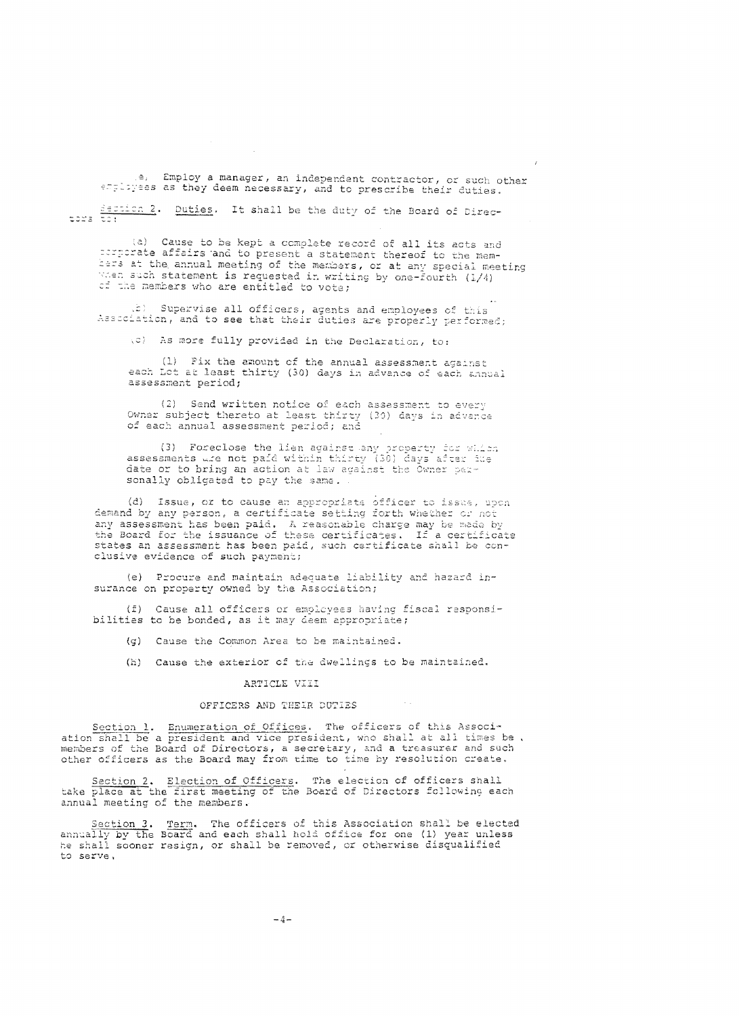e, Employ a manager, an independent contractor, or such other employees as they deem necessary, and to prescribe their duties.

Section 2. Duties. It shall be the duty of the Board of Directors to:

(a) Cause to be kept a complete record of all its acts and perporate affairs and to present a statement thereof to the memhers at the annual meeting of the members, or at any special meeting when such statement is requested in writing by one-Fourth (1/4) of the members who are entitled to vote;

the Supervise all officers, agents and employees of this Association, and to see that their duties are properly performed;

(c) As more fully provided in the Declaration, to:

(1) Fix the amount of the annual assessment against each Lot at least thirty (30) days in advance of each annual assessment period;

Send written notice of each assessment to every  $(2)$ Owner subject thereto at least thirty (30) days in advance of each annual assessment period; and

(3) Foreclose the lien against any property for which assessments wie not paid within thirty (30) days after fue date or to bring an action at law against the Owner personally obligated to pay the same.

(d) Issue, or to cause an appropriate officer to issue, upon demand by any person, a certificate setting forth whether or not any assessment has been paid. A reasonable charge may be made by the Board for the issuance of these certificates. If a certificate states an assessment has been paid, such certificate shall be conclusive evidence of such payment;

(e) Procure and maintain adequate liability and hazard insurance on property owned by the Association;

(f) Cause all officers or employees having fiscal responsibilities to be bonded, as it may deem appropriate;

- (g) Cause the Common Area to be maintained.
- (K) Cause the exterior of the dwellings to be maintained.

# ARTICLE VIII

# OFFICERS AND THEIR DUTIES

Section 1. Enumeration of Offices. The officers of this Associ-<br>ation shall be a president and vice president, who shall at all times be, members of the Board of Directors, a secretary, and a treasurer and such other officers as the Board may from time to time by resolution create.

Section 2. Election of Officers. The election of officers shall<br>take place at the first meeting of the Board of Directors following each annual meeting of the members.

Section 3. Term. The officers of this Association shall be elected<br>annually by the Board and each shall hold office for one (1) year unless<br>he shall sooner resign, or shall be removed, or otherwise disqualified to serve.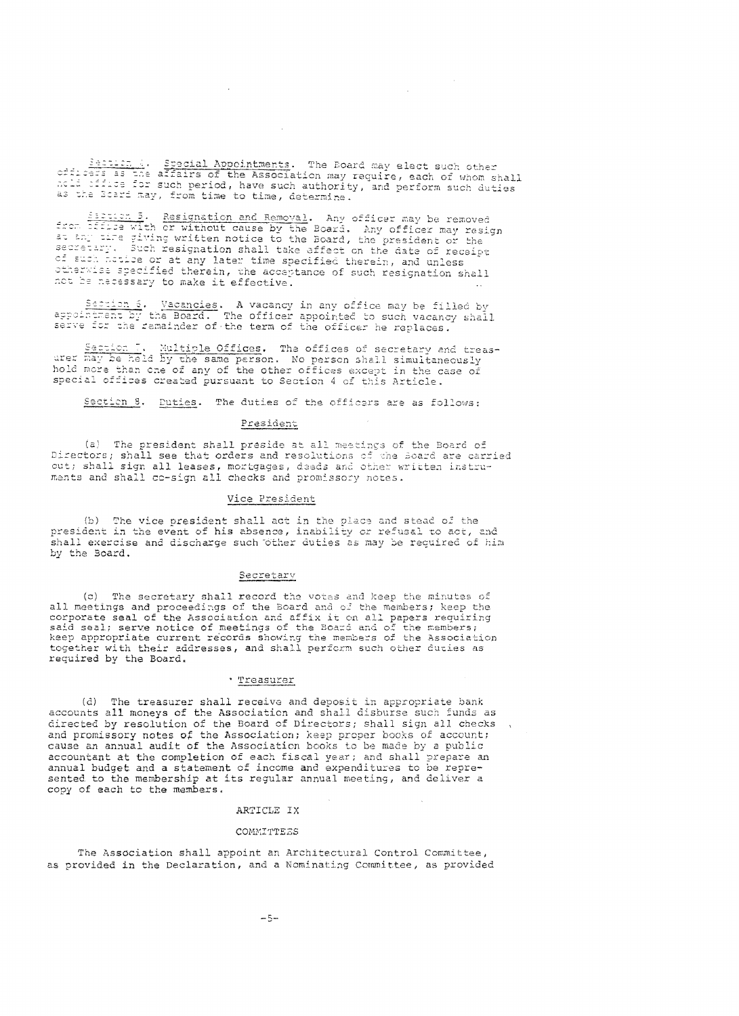Section 4. Special Appointments. The Board may elect such other<br>offices as the affairs of the Association may require, each of whom shall<br>note office for such period, have such authority, and perform such duties as the Board may, from time to time, determine.

 $\sim$   $\sim$ 

 $\mathcal{A}$ 

Exetion 5. Resignation and Removal. Any officer may be removed<br>from diffuse with or without cause by the Board. Any officer may resign<br>at any time giving written notice to the Board, the president or the<br>secretary. Such re of such hotice or at any later time specified therein, and unless otherwise specified therein, the acceptance of such resignation shall not be necessary to make it effective.

Section 6. Vacancies. A vacancy in any office may be filled by<br>appointment by the Board. The officer appointed to such vacancy shall<br>serve for the remainder of the term of the officer he replaces.

Section 7. Multiple Offices. The offices of secretary and treas-<br>urer may be held by the same person. No person shall simultaneously<br>hold more than one of any of the other offices except in the case of special offices created pursuant to Section 4 of this Article.

Section 8. Duties. The duties of the officers are as follows:

#### President

(a) The president shall preside at all meetings of the Board of Directors; shall see that orders and resolutions of the Board are carried out; shall sign all leases, mortgages, deeds and other written instruments and shall co-sign all checks and promissory notes.

## Vice President

(b) The vice president shall act in the place and stead of the president in the event of his absence, inability or refusal to act, and shall exercise and discharge such other duties as may be required of him by the Board.

## Secretary

 $(c)$ The secretary shall record the votes and keep the minutes of all meetings and proceedings of the Board and of the members; keep the said seal of the Association and affix it on all papers requiring<br>said seal; serve notice of meetings of the Board and of the members; keep appropriate current records showing the members of the Association together with their addresses, and shall perform such other duties as required by the Board.

## \* Treasurer

(d) The treasurer shall receive and deposit in appropriate bank accounts all moneys of the Association and shall disburse such funds as directed by resolution of the Board of Directors; shall sign all checks and promissory notes of the Association; keep proper books of account; cause an annual audit of the Association books to be made by a public accountant at the completion of each fiscal year; and shall prepare an annual budget and a statement of income and expenditures to be represented to the membership at its regular annual meeting, and deliver a copy of each to the members.

## ARTICLE IX

#### COMMITTEES

The Association shall appoint an Architectural Control Committee, as provided in the Declaration, and a Nominating Committee, as provided